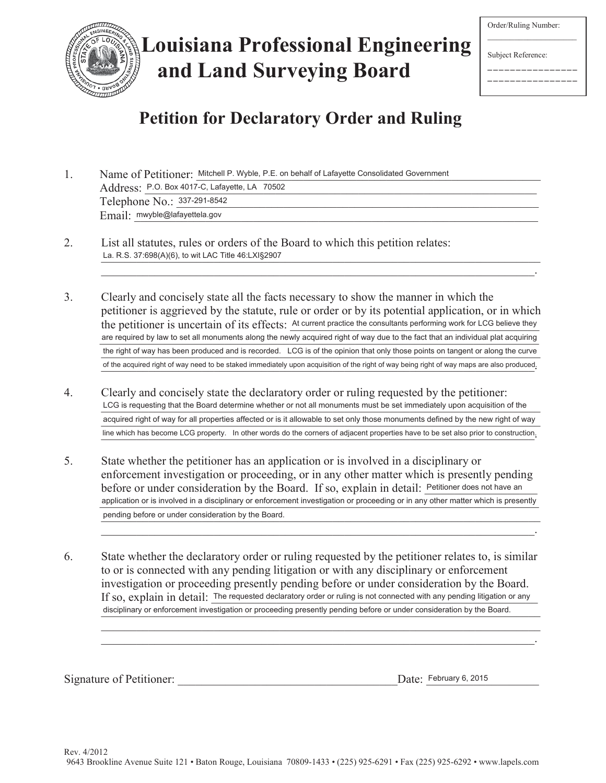

# **Louisiana Professional Engineering and Land Surveying Board**

Order/Ruling Number:

Subject Reference:

\_\_\_\_\_\_\_\_\_\_\_\_\_\_\_\_ \_\_\_\_\_\_\_\_\_\_\_\_\_\_\_\_

# **Petition for Declaratory Order and Ruling**

1. Name of Petitioner: Mitchell P. Wyble, P.E. on behalf of Lafayette Consolidated Government Address: P.O. Box 4017-C, Lafayette, LA 70502 Telephone No.: 337-291-8542  $\pmb{Email:}$  mwyble@lafayettela.gov

- 2. List all statutes, rules or orders of the Board to which this petition relates: La. R.S. 37:698(A)(6), to wit LAC Title 46:LXI§2907
- 3. Clearly and concisely state all the facts necessary to show the manner in which the petitioner is aggrieved by the statute, rule or order or by its potential application, or in which the petitioner is uncertain of its effects: At current practice the consultants performing work for LCG believe they are required by law to set all monuments along the newly acquired right of way due to the fact that an individual plat acquiring the right of way has been produced and is recorded. LCG is of the opinion that only those points on tangent or along the curve of the acquired right of way need to be staked immediately upon acquisition of the right of way being right of way maps are also produced.

 $\mathcal{L}_\mathcal{L} = \mathcal{L}_\mathcal{L} = \mathcal{L}_\mathcal{L} = \mathcal{L}_\mathcal{L} = \mathcal{L}_\mathcal{L} = \mathcal{L}_\mathcal{L} = \mathcal{L}_\mathcal{L} = \mathcal{L}_\mathcal{L} = \mathcal{L}_\mathcal{L} = \mathcal{L}_\mathcal{L} = \mathcal{L}_\mathcal{L} = \mathcal{L}_\mathcal{L} = \mathcal{L}_\mathcal{L} = \mathcal{L}_\mathcal{L} = \mathcal{L}_\mathcal{L} = \mathcal{L}_\mathcal{L} = \mathcal{L}_\mathcal{L}$ 

- 4. Clearly and concisely state the declaratory order or ruling requested by the petitioner: LCG is requesting that the Board determine whether or not all monuments must be set immediately upon acquisition of the acquired right of way for all properties affected or is it allowable to set only those monuments defined by the new right of way line which has become LCG property. In other words do the corners of adjacent properties have to be set also prior to construction.
- 5. State whether the petitioner has an application or is involved in a disciplinary or enforcement investigation or proceeding, or in any other matter which is presently pending before or under consideration by the Board. If so, explain in detail: Petitioner does not have an application or is involved in a disciplinary or enforcement investigation or proceeding or in any other matter which is presently pending before or under consideration by the Board.

 $\mathcal{L}_\mathcal{L} = \mathcal{L}_\mathcal{L} = \mathcal{L}_\mathcal{L} = \mathcal{L}_\mathcal{L} = \mathcal{L}_\mathcal{L} = \mathcal{L}_\mathcal{L} = \mathcal{L}_\mathcal{L} = \mathcal{L}_\mathcal{L} = \mathcal{L}_\mathcal{L} = \mathcal{L}_\mathcal{L} = \mathcal{L}_\mathcal{L} = \mathcal{L}_\mathcal{L} = \mathcal{L}_\mathcal{L} = \mathcal{L}_\mathcal{L} = \mathcal{L}_\mathcal{L} = \mathcal{L}_\mathcal{L} = \mathcal{L}_\mathcal{L}$ 

 $\mathcal{L}_\mathcal{L} = \mathcal{L}_\mathcal{L} = \mathcal{L}_\mathcal{L} = \mathcal{L}_\mathcal{L} = \mathcal{L}_\mathcal{L} = \mathcal{L}_\mathcal{L} = \mathcal{L}_\mathcal{L} = \mathcal{L}_\mathcal{L} = \mathcal{L}_\mathcal{L} = \mathcal{L}_\mathcal{L} = \mathcal{L}_\mathcal{L} = \mathcal{L}_\mathcal{L} = \mathcal{L}_\mathcal{L} = \mathcal{L}_\mathcal{L} = \mathcal{L}_\mathcal{L} = \mathcal{L}_\mathcal{L} = \mathcal{L}_\mathcal{L}$ 

6. State whether the declaratory order or ruling requested by the petitioner relates to, is similar to or is connected with any pending litigation or with any disciplinary or enforcement investigation or proceeding presently pending before or under consideration by the Board. If so,  $\exp$ la $\inf$   $\inf$   $\det$   $\inf$   $\Gamma$   $\in$  requested declaratory order or ruling is not connected with any pending litigation or any disciplinary or enforcement investigation or proceeding presently pending before or under consideration by the Board.

Signature of Petitioner:

Date: February 6, 2015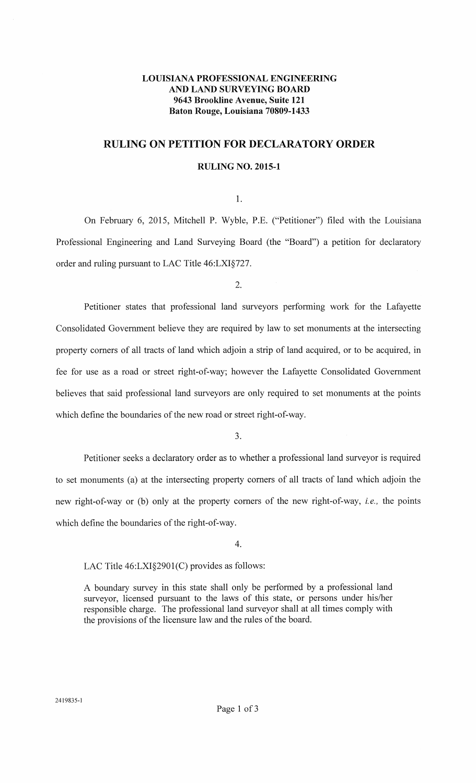## **LOUISIANA PROFESSIONAL ENGINEERING AND LAND SURVEYING BOARD 9643 Brookline Avenue, Suite 121 Baton Rouge, Louisiana 70809-1433**

# **RULING ON PETITION FOR DECLARATORY ORDER**

### **RULING NO. 2015-1**

1.

On February 6, 2015, Mitchell P. Wyble, P.E. ("Petitioner") filed with the Louisiana Professional Engineering and Land Surveying Board (the "Board") a petition for declaratory order and ruling pursuant to LAC Title 46:LXI§727.

2.

Petitioner states that professional land surveyors performing work for the Lafayette Consolidated Government believe they are required by law to set monuments at the intersecting property comers of all tracts of land which adjoin a strip of land acquired, or to be acquired, in fee for use as a road or street right-of-way; however the Lafayette Consolidated Government believes that said professional land surveyors are only required to set monuments at the points which define the boundaries of the new road or street right-of-way.

3.

Petitioner seeks a declaratory order as to whether a professional land surveyor is required to set monuments (a) at the intersecting property comers of all tracts of land which adjoin the new right-of-way or (b) only at the property comers of the new right-of-way, *i.e.,* the points which define the boundaries of the right-of-way.

4.

LAC Title 46:LXI§2901(C) provides as follows:

A boundary survey in this state shall only be performed by a professional land surveyor, licensed pursuant to the laws of this state, or persons under his/her responsible charge. The professional land surveyor shall at all times comply with the provisions of the licensure law and the rules of the board.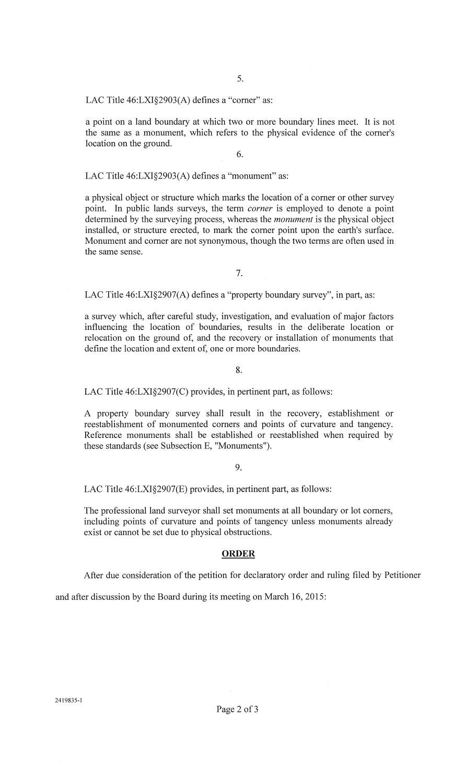LAC Title 46:LXI§2903(A) defines a "corner" as:

a point on a land boundary at which two or more boundary lines meet. It is not the same as a monument, which refers to the physical evidence of the comer's location on the ground.

6.

LAC Title 46:LXI§2903(A) defines a "monument" as:

a physical object or structure which marks the location of a comer or other survey point. In public lands surveys, the term *corner* is employed to denote a point determined by the surveying process, whereas the *monument* is the physical object installed, or structure erected, to mark the comer point upon the earth's surface. Monument and comer are not synonymous, though the two terms are often used in the same sense.

7.

LAC Title 46:LXI§2907(A) defines a "property boundary survey", in part, as:

a survey which, after careful study, investigation, and evaluation of major factors influencing the location of boundaries, results in the deliberate location or relocation on the ground of, and the recovery or installation of monuments that define the location and extent of, one or more boundaries.

8.

LAC Title 46:LXI§2907(C) provides, in pertinent part, as follows:

A property boundary survey shall result in the recovery, establishment or reestablishment of monumented comers and points of curvature and tangency. Reference monuments shall be established or reestablished when required by these standards (see Subsection E, "Monuments").

#### 9.

LAC Title 46:LXI§2907(E) provides, in pertinent part, as follows:

The professional land surveyor shall set monuments at all boundary or lot comers, including points of curvature and points of tangency unless monuments already exist or cannot be set due to physical obstructions.

#### **ORDER**

After due consideration of the petition for declaratory order and ruling filed by Petitioner

and after discussion by the Board during its meeting on March 16, 2015: